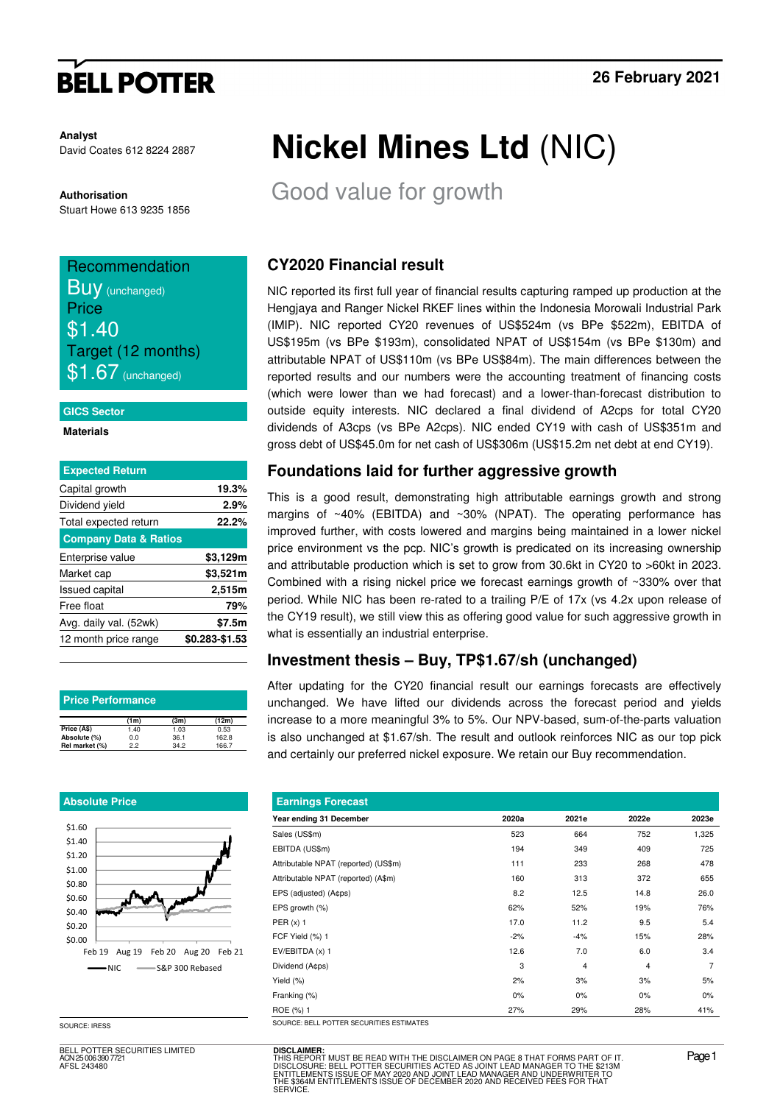# **BELL POTTER**

**Analyst** David Coates 612 8224 2887

**Authorisation**  Stuart Howe 613 9235 1856

## Recommendation **Buy** (unchanged)

**Price** \$1.40 Target (12 months)  $$1.67$  (unchanged)

#### **GICS Sector**

**Materials** 

| <b>Expected Return</b>           |                |
|----------------------------------|----------------|
| Capital growth                   | 19.3%          |
| Dividend yield                   | 2.9%           |
| Total expected return            | 22.2%          |
| <b>Company Data &amp; Ratios</b> |                |
| Enterprise value                 | \$3,129m       |
| Market cap                       | \$3,521m       |
| <b>Issued capital</b>            | 2,515m         |
| Free float                       | 79%            |
| Avg. daily val. (52wk)           | \$7.5m         |
| 12 month price range             | \$0.283-\$1.53 |

| <b>Price Performance</b> |      |      |       |  |  |  |  |  |
|--------------------------|------|------|-------|--|--|--|--|--|
|                          | (1m) | (3m) | (12m) |  |  |  |  |  |
| Price (A\$)              | 1.40 | 1.03 | 0.53  |  |  |  |  |  |
| Absolute (%)             | 0.0  | 36.1 | 162.8 |  |  |  |  |  |
| Rel market (%)           | 22   | 34.2 | 166.7 |  |  |  |  |  |

#### **Absolute Price**



SOURCE: IRESS

BELL POTTER SECURITIES LIMITED ACN 25 006 390 7721 AFSL 243480

# **Nickel Mines Ltd** (NIC)

Good value for growth

## **CY2020 Financial result**

NIC reported its first full year of financial results capturing ramped up production at the Hengjaya and Ranger Nickel RKEF lines within the Indonesia Morowali Industrial Park (IMIP). NIC reported CY20 revenues of US\$524m (vs BPe \$522m), EBITDA of US\$195m (vs BPe \$193m), consolidated NPAT of US\$154m (vs BPe \$130m) and attributable NPAT of US\$110m (vs BPe US\$84m). The main differences between the reported results and our numbers were the accounting treatment of financing costs (which were lower than we had forecast) and a lower-than-forecast distribution to outside equity interests. NIC declared a final dividend of A2cps for total CY20 dividends of A3cps (vs BPe A2cps). NIC ended CY19 with cash of US\$351m and gross debt of US\$45.0m for net cash of US\$306m (US\$15.2m net debt at end CY19).

## **Foundations laid for further aggressive growth**

This is a good result, demonstrating high attributable earnings growth and strong margins of ~40% (EBITDA) and ~30% (NPAT). The operating performance has improved further, with costs lowered and margins being maintained in a lower nickel price environment vs the pcp. NIC's growth is predicated on its increasing ownership and attributable production which is set to grow from 30.6kt in CY20 to >60kt in 2023. Combined with a rising nickel price we forecast earnings growth of ~330% over that period. While NIC has been re-rated to a trailing P/E of 17x (vs 4.2x upon release of the CY19 result), we still view this as offering good value for such aggressive growth in what is essentially an industrial enterprise.

### **Investment thesis – Buy, TP\$1.67/sh (unchanged)**

After updating for the CY20 financial result our earnings forecasts are effectively unchanged. We have lifted our dividends across the forecast period and yields increase to a more meaningful 3% to 5%. Our NPV-based, sum-of-the-parts valuation is also unchanged at \$1.67/sh. The result and outlook reinforces NIC as our top pick and certainly our preferred nickel exposure. We retain our Buy recommendation.

| 2020a | 2021e | 2022e          | 2023e          |
|-------|-------|----------------|----------------|
| 523   | 664   | 752            | 1,325          |
| 194   | 349   | 409            | 725            |
| 111   | 233   | 268            | 478            |
| 160   | 313   | 372            | 655            |
| 8.2   | 12.5  | 14.8           | 26.0           |
| 62%   | 52%   | 19%            | 76%            |
| 17.0  | 11.2  | 9.5            | 5.4            |
| $-2%$ | $-4%$ | 15%            | 28%            |
| 12.6  | 7.0   | 6.0            | 3.4            |
| 3     | 4     | $\overline{4}$ | $\overline{7}$ |
| 2%    | 3%    | 3%             | 5%             |
| $0\%$ | 0%    | 0%             | $0\%$          |
| 27%   | 29%   | 28%            | 41%            |
|       |       |                |                |

**DISCLAIMER:** THIS REPORT MUST BE READ WITH THE DISCLAIMER ON PAGE 8 THAT FORMS PART OF IT.<br>DISCLOSURE: BELL POTTER SECURITIES ACTED AS JOINT LEAD MANAGER TO THE \$2131M<br>ENTITLEMENTS ISSUE OF MAY 2020 AND JOINT LEAD MANAGER AND UNDERWRIT THE "ONLY WOOD DE THE SECURITIES ACTED AS JOINT LEAD MANAGER TO THE \$21<br>ITLEMENTS ISSUE OF MAY 2020 AND JOINT LEAD MANAGER AND UNDERWRITER TO<br>\$364M ENTITLEMENTS ISSUE OF DECEMBER 2020 AND RECEIVED FEES FOR THAT **SERVICE**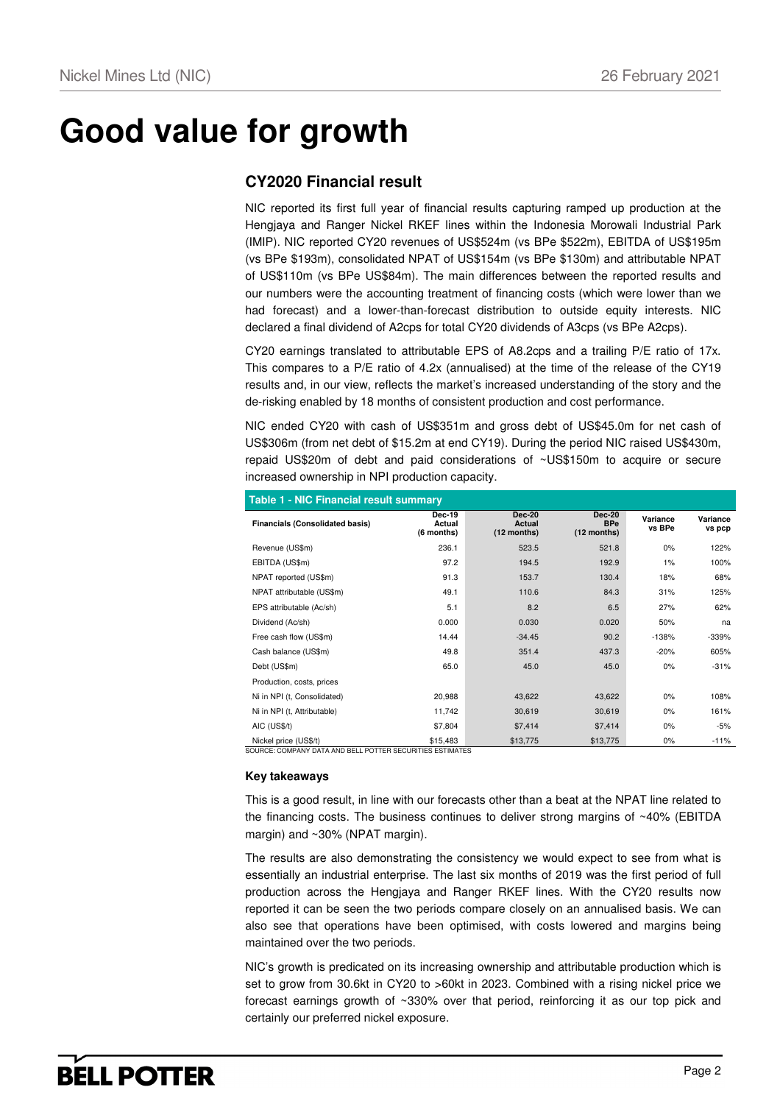# **Good value for growth**

### **CY2020 Financial result**

NIC reported its first full year of financial results capturing ramped up production at the Hengjaya and Ranger Nickel RKEF lines within the Indonesia Morowali Industrial Park (IMIP). NIC reported CY20 revenues of US\$524m (vs BPe \$522m), EBITDA of US\$195m (vs BPe \$193m), consolidated NPAT of US\$154m (vs BPe \$130m) and attributable NPAT of US\$110m (vs BPe US\$84m). The main differences between the reported results and our numbers were the accounting treatment of financing costs (which were lower than we had forecast) and a lower-than-forecast distribution to outside equity interests. NIC declared a final dividend of A2cps for total CY20 dividends of A3cps (vs BPe A2cps).

CY20 earnings translated to attributable EPS of A8.2cps and a trailing P/E ratio of 17x. This compares to a P/E ratio of 4.2x (annualised) at the time of the release of the CY19 results and, in our view, reflects the market's increased understanding of the story and the de-risking enabled by 18 months of consistent production and cost performance.

NIC ended CY20 with cash of US\$351m and gross debt of US\$45.0m for net cash of US\$306m (from net debt of \$15.2m at end CY19). During the period NIC raised US\$430m, repaid US\$20m of debt and paid considerations of ~US\$150m to acquire or secure increased ownership in NPI production capacity.

| <b>Table 1 - NIC Financial result summary</b> |                                       |                                                 |                                            |                    |                    |  |  |  |  |
|-----------------------------------------------|---------------------------------------|-------------------------------------------------|--------------------------------------------|--------------------|--------------------|--|--|--|--|
| <b>Financials (Consolidated basis)</b>        | <b>Dec-19</b><br>Actual<br>(6 months) | <b>Dec-20</b><br><b>Actual</b><br>$(12$ months) | <b>Dec-20</b><br><b>BPe</b><br>(12 months) | Variance<br>vs BPe | Variance<br>vs pcp |  |  |  |  |
| Revenue (US\$m)                               | 236.1                                 | 523.5                                           | 521.8                                      | 0%                 | 122%               |  |  |  |  |
| EBITDA (US\$m)                                | 97.2                                  | 194.5                                           | 192.9                                      | 1%                 | 100%               |  |  |  |  |
| NPAT reported (US\$m)                         | 91.3                                  | 153.7                                           | 130.4                                      | 18%                | 68%                |  |  |  |  |
| NPAT attributable (US\$m)                     | 49.1                                  | 110.6                                           | 84.3                                       | 31%                | 125%               |  |  |  |  |
| EPS attributable (Ac/sh)                      | 5.1                                   | 8.2                                             | 6.5                                        | 27%                | 62%                |  |  |  |  |
| Dividend (Ac/sh)                              | 0.000                                 | 0.030                                           | 0.020                                      | 50%                | na                 |  |  |  |  |
| Free cash flow (US\$m)                        | 14.44                                 | $-34.45$                                        | 90.2                                       | $-138%$            | $-339%$            |  |  |  |  |
| Cash balance (US\$m)                          | 49.8                                  | 351.4                                           | 437.3                                      | $-20%$             | 605%               |  |  |  |  |
| Debt (US\$m)                                  | 65.0                                  | 45.0                                            | 45.0                                       | $0\%$              | $-31%$             |  |  |  |  |
| Production, costs, prices                     |                                       |                                                 |                                            |                    |                    |  |  |  |  |
| Ni in NPI (t, Consolidated)                   | 20,988                                | 43,622                                          | 43,622                                     | $0\%$              | 108%               |  |  |  |  |
| Ni in NPI (t, Attributable)                   | 11,742                                | 30,619                                          | 30,619                                     | $0\%$              | 161%               |  |  |  |  |
| AIC (US\$/t)                                  | \$7,804                               | \$7,414                                         | \$7,414                                    | $0\%$              | $-5%$              |  |  |  |  |
| Nickel price (US\$/t)                         | \$15,483                              | \$13,775                                        | \$13,775                                   | $0\%$              | $-11%$             |  |  |  |  |

SOURCE: COMPANY DATA AND BELL POTTER SECURITIES ESTIMATES

#### **Key takeaways**

This is a good result, in line with our forecasts other than a beat at the NPAT line related to the financing costs. The business continues to deliver strong margins of ~40% (EBITDA margin) and ~30% (NPAT margin).

The results are also demonstrating the consistency we would expect to see from what is essentially an industrial enterprise. The last six months of 2019 was the first period of full production across the Hengjaya and Ranger RKEF lines. With the CY20 results now reported it can be seen the two periods compare closely on an annualised basis. We can also see that operations have been optimised, with costs lowered and margins being maintained over the two periods.

NIC's growth is predicated on its increasing ownership and attributable production which is set to grow from 30.6kt in CY20 to >60kt in 2023. Combined with a rising nickel price we forecast earnings growth of ~330% over that period, reinforcing it as our top pick and certainly our preferred nickel exposure.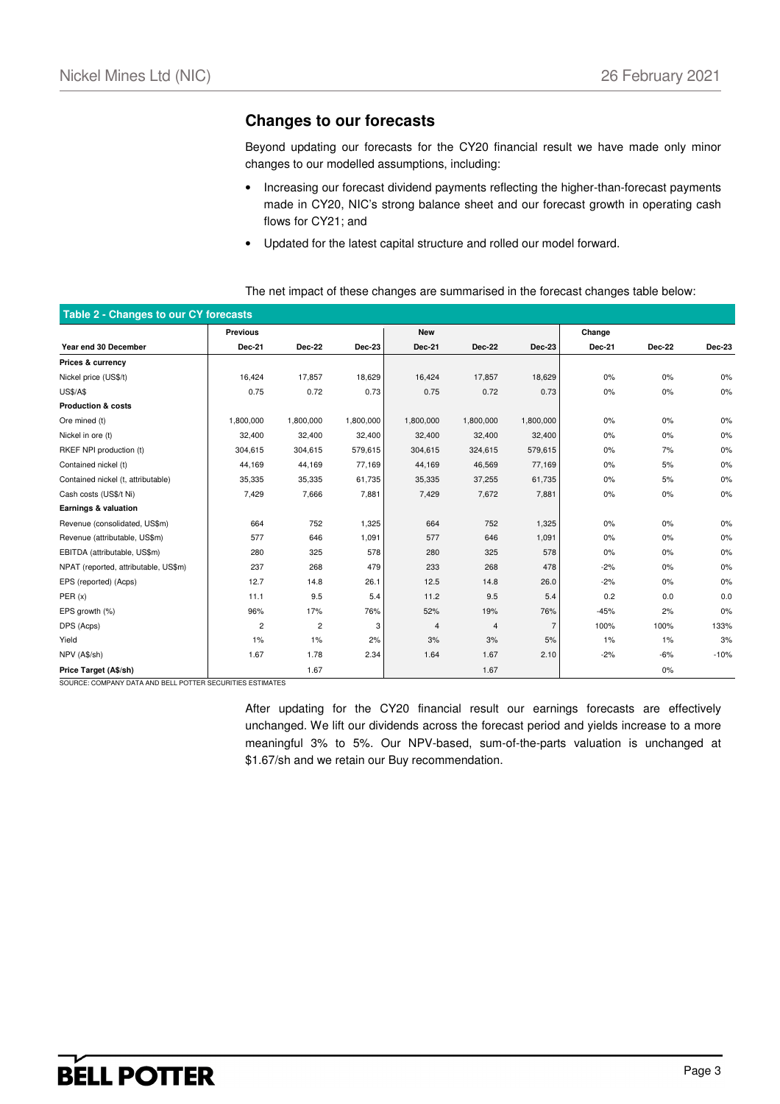### **Changes to our forecasts**

Beyond updating our forecasts for the CY20 financial result we have made only minor changes to our modelled assumptions, including:

- Increasing our forecast dividend payments reflecting the higher-than-forecast payments made in CY20, NIC's strong balance sheet and our forecast growth in operating cash flows for CY21; and
- Updated for the latest capital structure and rolled our model forward.

| Table 2 - Changes to our CY forecasts |                         |                |           |               |               |                |        |        |        |
|---------------------------------------|-------------------------|----------------|-----------|---------------|---------------|----------------|--------|--------|--------|
|                                       | <b>Previous</b>         |                |           | <b>New</b>    |               |                | Change |        |        |
| Year end 30 December                  | Dec-21                  | Dec-22         | Dec-23    | <b>Dec-21</b> | <b>Dec-22</b> | Dec-23         | Dec-21 | Dec-22 | Dec-23 |
| Prices & currency                     |                         |                |           |               |               |                |        |        |        |
| Nickel price (US\$/t)                 | 16,424                  | 17,857         | 18,629    | 16,424        | 17,857        | 18,629         | 0%     | 0%     | 0%     |
| <b>US\$/A\$</b>                       | 0.75                    | 0.72           | 0.73      | 0.75          | 0.72          | 0.73           | 0%     | 0%     | 0%     |
| <b>Production &amp; costs</b>         |                         |                |           |               |               |                |        |        |        |
| Ore mined (t)                         | 1,800,000               | 1,800,000      | 1,800,000 | 1,800,000     | 1,800,000     | 1,800,000      | 0%     | 0%     | 0%     |
| Nickel in ore (t)                     | 32,400                  | 32,400         | 32,400    | 32,400        | 32,400        | 32,400         | 0%     | 0%     | 0%     |
| RKEF NPI production (t)               | 304,615                 | 304,615        | 579,615   | 304,615       | 324,615       | 579,615        | 0%     | 7%     | 0%     |
| Contained nickel (t)                  | 44,169                  | 44,169         | 77,169    | 44,169        | 46,569        | 77,169         | 0%     | 5%     | 0%     |
| Contained nickel (t, attributable)    | 35,335                  | 35,335         | 61,735    | 35,335        | 37,255        | 61,735         | 0%     | 5%     | 0%     |
| Cash costs (US\$/t Ni)                | 7,429                   | 7,666          | 7,881     | 7,429         | 7,672         | 7,881          | 0%     | 0%     | 0%     |
| Earnings & valuation                  |                         |                |           |               |               |                |        |        |        |
| Revenue (consolidated, US\$m)         | 664                     | 752            | 1,325     | 664           | 752           | 1,325          | 0%     | 0%     | 0%     |
| Revenue (attributable, US\$m)         | 577                     | 646            | 1,091     | 577           | 646           | 1,091          | 0%     | 0%     | 0%     |
| EBITDA (attributable, US\$m)          | 280                     | 325            | 578       | 280           | 325           | 578            | 0%     | 0%     | 0%     |
| NPAT (reported, attributable, US\$m)  | 237                     | 268            | 479       | 233           | 268           | 478            | $-2%$  | 0%     | 0%     |
| EPS (reported) (Acps)                 | 12.7                    | 14.8           | 26.1      | 12.5          | 14.8          | 26.0           | $-2%$  | 0%     | 0%     |
| PER(x)                                | 11.1                    | 9.5            | 5.4       | 11.2          | 9.5           | 5.4            | 0.2    | 0.0    | 0.0    |
| EPS growth (%)                        | 96%                     | 17%            | 76%       | 52%           | 19%           | 76%            | $-45%$ | 2%     | 0%     |
| DPS (Acps)                            | $\overline{\mathbf{c}}$ | $\overline{c}$ | 3         | 4             | 4             | $\overline{7}$ | 100%   | 100%   | 133%   |
| Yield                                 | 1%                      | 1%             | 2%        | 3%            | 3%            | 5%             | $1\%$  | $1\%$  | 3%     |
| NPV (A\$/sh)                          | 1.67                    | 1.78           | 2.34      | 1.64          | 1.67          | 2.10           | $-2%$  | $-6%$  | $-10%$ |
| Price Target (A\$/sh)                 |                         | 1.67           |           |               | 1.67          |                |        | 0%     |        |

#### The net impact of these changes are summarised in the forecast changes table below:

SOURCE: COMPANY DATA AND BELL POTTER SECURITIES ESTIMATES

After updating for the CY20 financial result our earnings forecasts are effectively unchanged. We lift our dividends across the forecast period and yields increase to a more meaningful 3% to 5%. Our NPV-based, sum-of-the-parts valuation is unchanged at \$1.67/sh and we retain our Buy recommendation.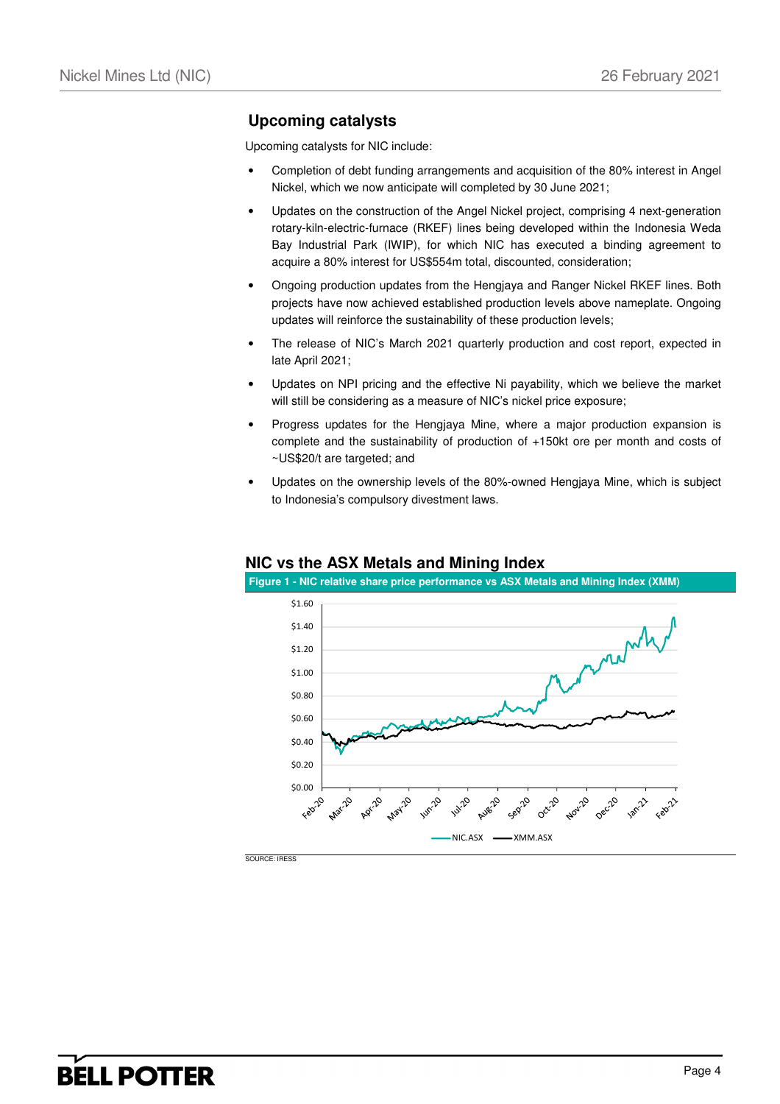### **Upcoming catalysts**

Upcoming catalysts for NIC include:

- Completion of debt funding arrangements and acquisition of the 80% interest in Angel Nickel, which we now anticipate will completed by 30 June 2021;
- Updates on the construction of the Angel Nickel project, comprising 4 next-generation rotary-kiln-electric-furnace (RKEF) lines being developed within the Indonesia Weda Bay Industrial Park (IWIP), for which NIC has executed a binding agreement to acquire a 80% interest for US\$554m total, discounted, consideration;
- Ongoing production updates from the Hengjaya and Ranger Nickel RKEF lines. Both projects have now achieved established production levels above nameplate. Ongoing updates will reinforce the sustainability of these production levels;
- The release of NIC's March 2021 quarterly production and cost report, expected in late April 2021;
- Updates on NPI pricing and the effective Ni payability, which we believe the market will still be considering as a measure of NIC's nickel price exposure;
- Progress updates for the Hengjaya Mine, where a major production expansion is complete and the sustainability of production of +150kt ore per month and costs of ~US\$20/t are targeted; and
- Updates on the ownership levels of the 80%-owned Hengjaya Mine, which is subject to Indonesia's compulsory divestment laws.



### **NIC vs the ASX Metals and Mining Index**

**Figure 1 - NIC relative share price performance vs ASX Metals and Mining Index (XMM)**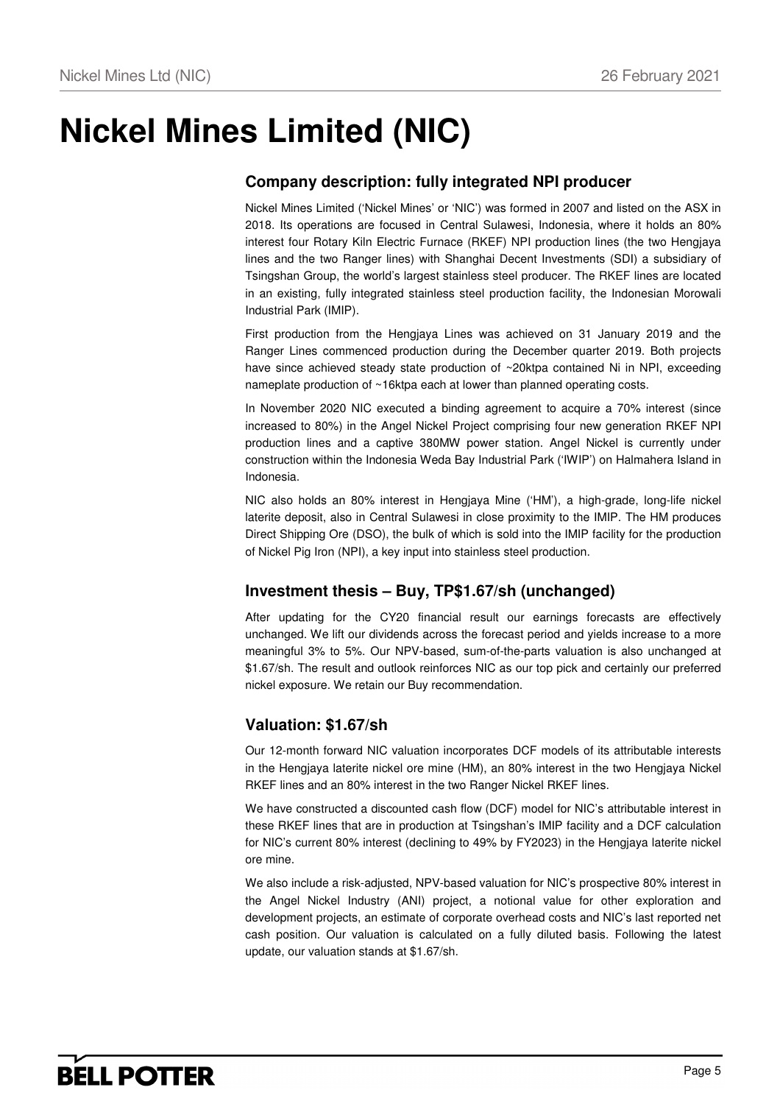# **Nickel Mines Limited (NIC)**

## **Company description: fully integrated NPI producer**

Nickel Mines Limited ('Nickel Mines' or 'NIC') was formed in 2007 and listed on the ASX in 2018. Its operations are focused in Central Sulawesi, Indonesia, where it holds an 80% interest four Rotary Kiln Electric Furnace (RKEF) NPI production lines (the two Hengjaya lines and the two Ranger lines) with Shanghai Decent Investments (SDI) a subsidiary of Tsingshan Group, the world's largest stainless steel producer. The RKEF lines are located in an existing, fully integrated stainless steel production facility, the Indonesian Morowali Industrial Park (IMIP).

First production from the Hengjaya Lines was achieved on 31 January 2019 and the Ranger Lines commenced production during the December quarter 2019. Both projects have since achieved steady state production of ~20ktpa contained Ni in NPI, exceeding nameplate production of ~16ktpa each at lower than planned operating costs.

In November 2020 NIC executed a binding agreement to acquire a 70% interest (since increased to 80%) in the Angel Nickel Project comprising four new generation RKEF NPI production lines and a captive 380MW power station. Angel Nickel is currently under construction within the Indonesia Weda Bay Industrial Park ('IWIP') on Halmahera Island in Indonesia.

NIC also holds an 80% interest in Hengjaya Mine ('HM'), a high-grade, long-life nickel laterite deposit, also in Central Sulawesi in close proximity to the IMIP. The HM produces Direct Shipping Ore (DSO), the bulk of which is sold into the IMIP facility for the production of Nickel Pig Iron (NPI), a key input into stainless steel production.

### **Investment thesis – Buy, TP\$1.67/sh (unchanged)**

After updating for the CY20 financial result our earnings forecasts are effectively unchanged. We lift our dividends across the forecast period and yields increase to a more meaningful 3% to 5%. Our NPV-based, sum-of-the-parts valuation is also unchanged at \$1.67/sh. The result and outlook reinforces NIC as our top pick and certainly our preferred nickel exposure. We retain our Buy recommendation.

### **Valuation: \$1.67/sh**

Our 12-month forward NIC valuation incorporates DCF models of its attributable interests in the Hengjaya laterite nickel ore mine (HM), an 80% interest in the two Hengjaya Nickel RKEF lines and an 80% interest in the two Ranger Nickel RKEF lines.

We have constructed a discounted cash flow (DCF) model for NIC's attributable interest in these RKEF lines that are in production at Tsingshan's IMIP facility and a DCF calculation for NIC's current 80% interest (declining to 49% by FY2023) in the Hengjaya laterite nickel ore mine.

We also include a risk-adjusted, NPV-based valuation for NIC's prospective 80% interest in the Angel Nickel Industry (ANI) project, a notional value for other exploration and development projects, an estimate of corporate overhead costs and NIC's last reported net cash position. Our valuation is calculated on a fully diluted basis. Following the latest update, our valuation stands at \$1.67/sh.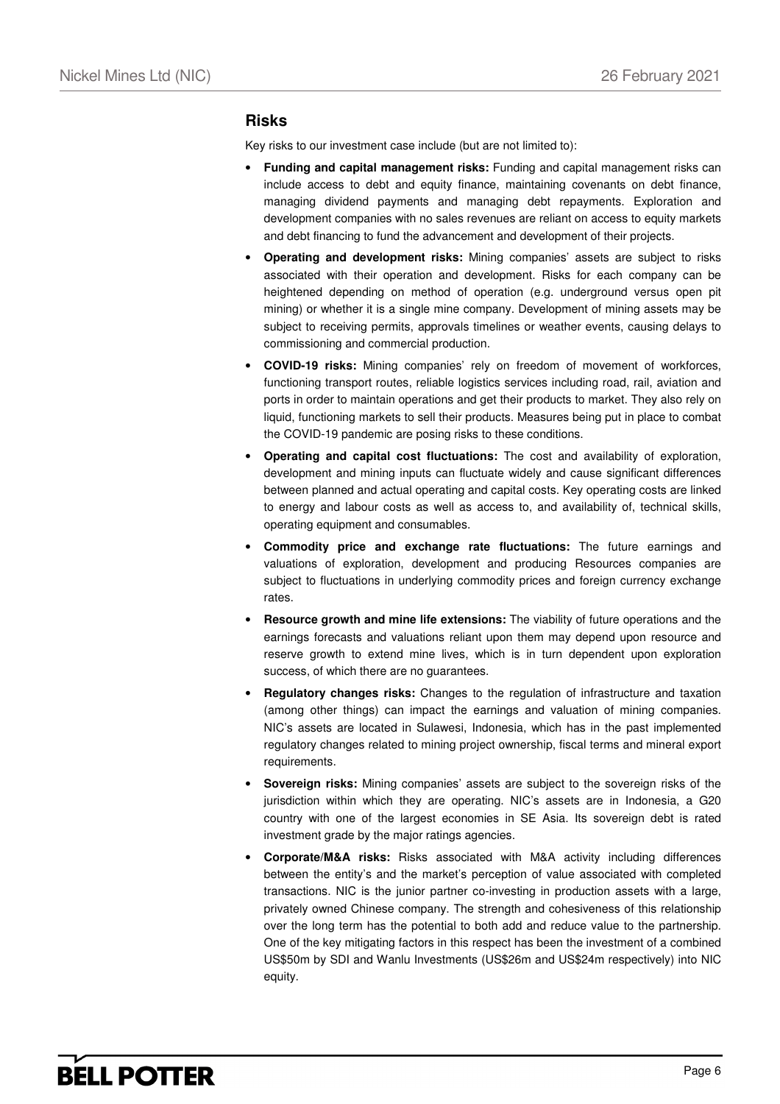### **Risks**

Key risks to our investment case include (but are not limited to):

- **Funding and capital management risks:** Funding and capital management risks can include access to debt and equity finance, maintaining covenants on debt finance, managing dividend payments and managing debt repayments. Exploration and development companies with no sales revenues are reliant on access to equity markets and debt financing to fund the advancement and development of their projects.
- **Operating and development risks:** Mining companies' assets are subject to risks associated with their operation and development. Risks for each company can be heightened depending on method of operation (e.g. underground versus open pit mining) or whether it is a single mine company. Development of mining assets may be subject to receiving permits, approvals timelines or weather events, causing delays to commissioning and commercial production.
- **COVID-19 risks:** Mining companies' rely on freedom of movement of workforces, functioning transport routes, reliable logistics services including road, rail, aviation and ports in order to maintain operations and get their products to market. They also rely on liquid, functioning markets to sell their products. Measures being put in place to combat the COVID-19 pandemic are posing risks to these conditions.
- **Operating and capital cost fluctuations:** The cost and availability of exploration, development and mining inputs can fluctuate widely and cause significant differences between planned and actual operating and capital costs. Key operating costs are linked to energy and labour costs as well as access to, and availability of, technical skills, operating equipment and consumables.
- **Commodity price and exchange rate fluctuations:** The future earnings and valuations of exploration, development and producing Resources companies are subject to fluctuations in underlying commodity prices and foreign currency exchange rates.
- **Resource growth and mine life extensions:** The viability of future operations and the earnings forecasts and valuations reliant upon them may depend upon resource and reserve growth to extend mine lives, which is in turn dependent upon exploration success, of which there are no guarantees.
- **Regulatory changes risks:** Changes to the regulation of infrastructure and taxation (among other things) can impact the earnings and valuation of mining companies. NIC's assets are located in Sulawesi, Indonesia, which has in the past implemented regulatory changes related to mining project ownership, fiscal terms and mineral export requirements.
- **Sovereign risks:** Mining companies' assets are subject to the sovereign risks of the jurisdiction within which they are operating. NIC's assets are in Indonesia, a G20 country with one of the largest economies in SE Asia. Its sovereign debt is rated investment grade by the major ratings agencies.
- **Corporate/M&A risks:** Risks associated with M&A activity including differences between the entity's and the market's perception of value associated with completed transactions. NIC is the junior partner co-investing in production assets with a large, privately owned Chinese company. The strength and cohesiveness of this relationship over the long term has the potential to both add and reduce value to the partnership. One of the key mitigating factors in this respect has been the investment of a combined US\$50m by SDI and Wanlu Investments (US\$26m and US\$24m respectively) into NIC equity.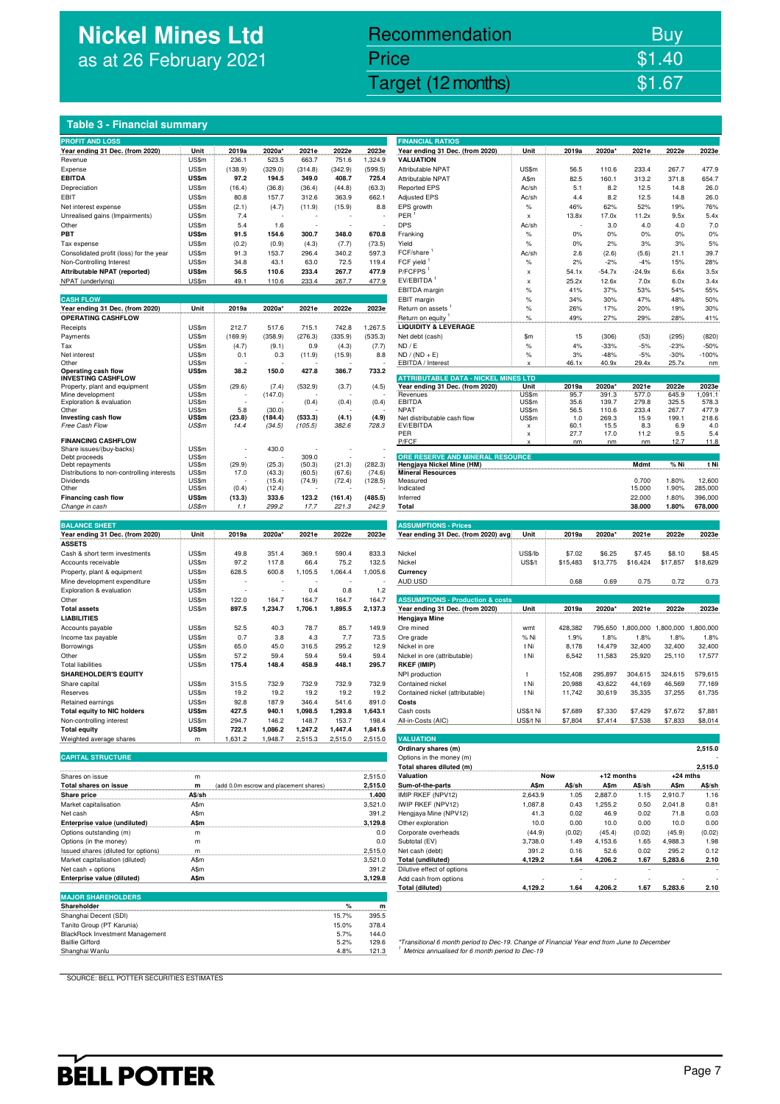## **Nickel Mines Ltd** as at 26 February 2021

## Nickel Mines Ltd (Nickel Mines Ltd (Nickel Mines Ltd (Nickel Mines Ltd (Nickel Mines Ltd Computer) \$1.67 Recommendation Buy Price \$1.40

### **Table 3 - Financial summary**

| <b>PROFIT AND LOSS</b>                            |                |                                        |                  |         |         |         | <b>FINANCIAL RATIOS</b>                                                                    |               |               |            |                   |             |           |
|---------------------------------------------------|----------------|----------------------------------------|------------------|---------|---------|---------|--------------------------------------------------------------------------------------------|---------------|---------------|------------|-------------------|-------------|-----------|
| Year ending 31 Dec. (from 2020)                   | Unit           | 2019a                                  | 2020a*           | 2021e   | 2022e   | 2023e   | Year ending 31 Dec. (from 2020)                                                            | Unit          | 2019a         | 2020a*     | 2021e             | 2022e       | 2023e     |
| Revenue                                           | US\$m          | 236.1                                  | 523.5            | 663.7   | 751.6   | 1,324.9 | <b>VALUATION</b>                                                                           |               |               |            |                   |             |           |
| Expense                                           | US\$m          | (138.9)                                | (329.0)          | (314.8) | (342.9) | (599.5) | Attributable NPAT                                                                          | US\$m         | 56.5          | 110.6      | 233.4             | 267.7       | 477.9     |
| <b>EBITDA</b>                                     | US\$m          | 97.2                                   | 194.5            | 349.0   | 408.7   | 725.4   | Attributable NPAT                                                                          | A\$m          | 82.5          | 160.1      | 313.2             | 371.8       | 654.7     |
| Depreciation                                      | US\$m          | (16.4)                                 | (36.8)           | (36.4)  | (44.8)  | (63.3)  | <b>Reported EPS</b>                                                                        | Ac/sh         | 5.1           | 8.2        | 12.5              | 14.8        | 26.0      |
| EBIT                                              | US\$m          | 80.8                                   | 157.7            | 312.6   | 363.9   | 662.1   | <b>Adjusted EPS</b>                                                                        | Ac/sh         | 4.4           | 8.2        | 12.5              | 14.8        | 26.0      |
| Net interest expense                              | US\$m          | (2.1)                                  | (4.7)            | (11.9)  | (15.9)  | 8.8     | EPS growth                                                                                 | $\%$          | 46%           | 62%        | 52%               | 19%         | 76%       |
| Unrealised gains (Impairments)                    | US\$m          | 7.4                                    |                  |         |         |         | PER                                                                                        | x             | 13.8x         | 17.0x      | 11.2x             | 9.5x        | 5.4x      |
| Other                                             | US\$m          | 5.4                                    | 1.6              |         |         |         | <b>DPS</b>                                                                                 | Ac/sh         |               | 3.0        | 4.0               | 4.0         | 7.0       |
| PBT                                               | US\$m          | 91.5                                   | 154.6            | 300.7   | 348.0   | 670.8   | Franking                                                                                   | $\%$          | 0%            | 0%         | 0%                | 0%          | 0%        |
| Tax expense                                       | US\$m          | (0.2)                                  | (0.9)            | (4.3)   | (7.7)   | (73.5)  | Yield                                                                                      | $\%$          | 0%            | 2%         | 3%                | 3%          | 5%        |
| Consolidated profit (loss) for the year           | US\$m          | 91.3                                   | 153.7            | 296.4   | 340.2   | 597.3   | FCF/share                                                                                  | Ac/sh         | 2.6           | (2.6)      | (5.6)             | 21.1        | 39.7      |
| Non-Controlling Interest                          | US\$m          | 34.8                                   | 43.1             | 63.0    | 72.5    | 119.4   | FCF yield                                                                                  | $\%$          | 2%            | $-2%$      | $-4%$             | 15%         | 28%       |
| Attributable NPAT (reported)                      | US\$m          | 56.5                                   | 110.6            | 233.4   | 267.7   | 477.9   | P/FCFPS <sup>1</sup>                                                                       | x             | 54.1x         | $-54.7x$   | $-24.9x$          | 6.6x        | 3.5x      |
| NPAT (underlying)                                 | US\$m          | 49.1                                   | 110.6            | 233.4   | 267.7   | 477.9   | EV/EBITDA                                                                                  | x             | 25.2x         | 12.6x      | 7.0x              | 6.0x        | 3.4x      |
|                                                   |                |                                        |                  |         |         |         | EBITDA margin                                                                              | $\%$          | 41%           | 37%        | 53%               | 54%         | 55%       |
| <b>CASH FLOW</b>                                  |                |                                        |                  |         |         |         | EBIT margin                                                                                | $\%$          | 34%           | 30%        | 47%               | 48%         | 50%       |
| Year ending 31 Dec. (from 2020)                   | Unit           | 2019a                                  | 2020a*           | 2021e   | 2022e   | 2023e   | Return on assets                                                                           | $\%$          | 26%           | 17%        | 20%               | 19%         | 30%       |
| OPERATING CASHFLOW                                |                |                                        |                  |         |         |         | Return on equity                                                                           | $\%$          | 49%           | 27%        | 29%               | 28%         | 41%       |
| Receipts                                          | US\$m          | 212.7                                  | 517.6            | 715.1   | 742.8   | 1,267.5 | <b>LIQUIDITY &amp; LEVERAGE</b>                                                            |               |               |            |                   |             |           |
| Payments                                          | US\$m          | (169.9)                                | (358.9)          | (276.3) | (335.9) | (535.3) | Net debt (cash)                                                                            | \$m           | 15            | (306)      | (53)              | (295)       | (820)     |
| Tax                                               | US\$m          | (4.7)                                  | (9.1)            | 0.9     | (4.3)   | (7.7)   | ND / E                                                                                     | $\%$          | 4%            | $-33%$     | $-5%$             | $-23%$      | $-50%$    |
| Net interest                                      | US\$m          | 0.1                                    | 0.3              | (11.9)  | (15.9)  | 8.8     | $ND / (ND + E)$                                                                            | %             | 3%            | $-48%$     | $-5%$             | $-30%$      | $-100%$   |
| Other                                             | US\$m          |                                        |                  |         |         |         | EBITDA / Interest                                                                          | x             | 46.1x         | 40.9x      | 29.4x             | 25.7x       | nm        |
| Operating cash flow                               | US\$m          | 38.2                                   | 150.0            | 427.8   | 386.7   | 733.2   |                                                                                            |               |               |            |                   |             |           |
| <b>INVESTING CASHFLOW</b>                         |                |                                        |                  |         |         |         | <b>ATTRIBUTABLE DATA - NICKEL MINES LTD</b><br>Year ending 31 Dec. (from 2020)             | Unit          |               | 2020a*     |                   | 2022e       | 2023e     |
| Property, plant and equipment<br>Mine development | US\$m<br>US\$m | (29.6)                                 | (7.4)<br>(147.0) | (532.9) | (3.7)   | (4.5)   | Revenues                                                                                   | US\$m         | 2019a<br>95.7 | 391.3      | 2021e<br>577.0    | 645.9       | 1,091.1   |
| Exploration & evaluation                          | US\$m          |                                        |                  | (0.4)   | (0.4)   | (0.4)   | <b>EBITDA</b>                                                                              | US\$m         | 35.6          | 139.7      | 279.8             | 325.5       | 578.3     |
| Other                                             | US\$m          | 5.8                                    | (30.0)           |         |         |         | <b>NPAT</b>                                                                                | US\$m         | 56.5          | 110.6      | 233.4             | 267.7       | 477.9     |
| Investing cash flow                               | US\$m          | (23.8)                                 | (184.4)          | (533.3) | (4.1)   | (4.9)   | Net distributable cash flow                                                                | US\$m         | 1.0           | 269.3      | 15.9              | 199.1       | 218.6     |
| Free Cash Flow                                    | US\$m          | 14.4                                   | (34.5)           | (105.5) | 382.6   | 728.3   | EV/EBITDA                                                                                  | x             | 60.1          | 15.5       | 8.3               | 6.9         | 4.0       |
| <b>FINANCING CASHFLOW</b>                         |                |                                        |                  |         |         |         | PER                                                                                        | x             | 27.7          | 17.0       | 11.2              | 9.5<br>12.7 | 5.4       |
| Share issues/(buy-backs)                          | US\$m          |                                        | 430.0            |         |         |         | P/FCF                                                                                      | x             | nm            | nm         | nm                |             | 11.8      |
| Debt proceeds                                     | US\$m          |                                        |                  | 309.0   |         |         | ORE RESERVE AND MINERAL RESOURCE                                                           |               |               |            |                   |             |           |
| Debt repayments                                   | US\$m          | (29.9)                                 | (25.3)           | (50.3)  | (21.3)  | (282.3) | Hengjaya Nickel Mine (HM)                                                                  |               |               |            | Mdmt              | % Ni        | t Ni      |
| Distributions to non-controlling interests        | US\$m          | 17.0                                   | (43.3)           | (60.5)  | (67.6)  | (74.6)  | <b>Mineral Resources</b>                                                                   |               |               |            |                   |             |           |
| Dividends                                         | US\$m          |                                        | (15.4)           | (74.9)  | (72.4)  | (128.5) | Measured                                                                                   |               |               |            | 0.700             | 1.80%       | 12,600    |
| Other                                             | US\$m          | (0.4)                                  | (12.4)           |         |         |         | Indicated                                                                                  |               |               |            | 15.000            | 1.90%       | 285,000   |
| Financing cash flow                               | US\$m          | (13.3)                                 | 333.6            | 123.2   | (161.4) | (485.5) | Inferred                                                                                   |               |               |            | 22.000            | 1.80%       | 396,000   |
| Change in cash                                    | US\$m          | 1.1                                    | 299.2            | 17.7    | 221.3   | 242.9   | Total                                                                                      |               |               |            | 38.000            | 1.80%       | 678,000   |
| <b>BALANCE SHEET</b>                              |                |                                        |                  |         |         |         | <b>ASSUMPTIONS - Prices</b>                                                                |               |               |            |                   |             |           |
| Year ending 31 Dec. (from 2020)                   | Unit           | 2019a                                  | 2020a*           | 2021e   | 2022e   | 2023e   | Year ending 31 Dec. (from 2020) avg                                                        | Unit          | 2019a         | 2020a*     | 2021e             | 2022e       | 2023e     |
| <b>ASSETS</b>                                     |                |                                        |                  |         |         |         |                                                                                            |               |               |            |                   |             |           |
| Cash & short term investments                     | US\$m          | 49.8                                   | 351.4            | 369.1   | 590.4   | 833.3   | Nickel                                                                                     | US\$/lb       | \$7.02        | \$6.25     | \$7.45            | \$8.10      | \$8.45    |
| Accounts receivable                               | US\$m          | 97.2                                   | 117.8            | 66.4    | 75.2    | 132.5   | Nickel                                                                                     | <b>US\$/t</b> | \$15,483      | \$13,775   | \$16,424          | \$17,857    | \$18,629  |
| Property, plant & equipment                       | US\$m          | 628.5                                  | 600.8            | 1,105.5 | 1,064.4 | 1,005.6 | Currency                                                                                   |               |               |            |                   |             |           |
| Mine development expenditure                      | US\$m          |                                        |                  |         |         |         | AUD:USD                                                                                    |               | 0.68          | 0.69       | 0.75              | 0.72        | 0.73      |
| Exploration & evaluation                          | US\$m          |                                        |                  | 0.4     | 0.8     | 1.2     |                                                                                            |               |               |            |                   |             |           |
| Other                                             | US\$m          | 122.0                                  | 164.7            | 164.7   | 164.7   | 164.7   | <b>ASSUMPTIONS - Production &amp; costs</b>                                                |               |               |            |                   |             |           |
| <b>Total assets</b>                               | US\$m          | 897.5                                  | 1,234.7          | 1,706.1 | 1,895.5 | 2,137.3 | Year ending 31 Dec. (from 2020)                                                            | Unit          | 2019a         | 2020a*     | 2021e             | 2022e       | 2023e     |
| <b>LIABILITIES</b>                                |                |                                        |                  |         |         |         | Hengjaya Mine                                                                              |               |               |            |                   |             |           |
| Accounts payable                                  | US\$m          | 52.5                                   | 40.3             | 78.7    | 85.7    | 149.9   | Ore mined                                                                                  | wmt           | 428,382       |            | 795,650 1,800,000 | 1,800,000   | 1,800,000 |
| Income tax payable                                | US\$m          | 0.7                                    | 3.8              | 4.3     | 7.7     | 73.5    | Ore grade                                                                                  | % Ni          | 1.9%          | 1.8%       | 1.8%              | 1.8%        | 1.8%      |
| Borrowings                                        | US\$m          | 65.0                                   | 45.0             | 316.5   | 295.2   | 12.9    | Nickel in ore                                                                              | t Ni          | 8,178         | 14,479     | 32,400            | 32,400      | 32,400    |
| Other                                             | US\$m          | 57.2                                   | 59.4             | 59.4    | 59.4    | 59.4    | Nickel in ore (attributable)                                                               | t Ni          | 6,542         | 11,583     | 25,920            | 25,110      | 17,577    |
| <b>Total liabilities</b>                          | US\$m          | 175.4                                  | 148.4            | 458.9   | 448.1   | 295.7   | <b>RKEF (IMIP)</b>                                                                         |               |               |            |                   |             |           |
| <b>SHAREHOLDER'S EQUITY</b>                       |                |                                        |                  |         |         |         | NPI production                                                                             | t             | 152,408       | 295,897    | 304,615           | 324,615     | 579,615   |
| Share capital                                     | US\$m          | 315.5                                  | 732.9            | 732.9   | 732.9   | 732.9   | Contained nickel                                                                           | t Ni          | 20,988        | 43,622     | 44,169            | 46,569      | 77,169    |
| Reserves                                          | US\$m          | 19.2                                   | 19.2             | 19.2    | 19.2    | 19.2    | Contained nickel (attributable)                                                            | t Ni          | 11,742        | 30,619     | 35,335            | 37,255      | 61,735    |
| Retained earnings                                 | US\$m          | 92.8                                   | 187.9            | 346.4   | 541.6   | 891.0   | Costs                                                                                      |               |               |            |                   |             |           |
| <b>Total equity to NIC holders</b>                | US\$m          | 427.5                                  | 940.1            | 1,098.5 | 1,293.8 | 1,643.1 | Cash costs                                                                                 | US\$/t Ni     | \$7,689       | \$7,330    | \$7,429           | \$7,672     | \$7,881   |
| Non-controlling interest                          | US\$m          | 294. .                                 | 146.2            | 148. .  | 153.    | 198.4   | All-in-Costs (AIC)                                                                         | US\$/t Ni     | \$7,804       |            | \$7,538           | \$7,833     | \$8,014   |
| <b>Total equity</b>                               | US\$m          | 722.1                                  | 1,086.2          | 1,247.2 | 1,447.4 | 1,841.6 |                                                                                            |               |               |            |                   |             |           |
| Weighted average shares                           | m              | 1,631.2                                | 1,948.7          | 2,515.3 | 2,515.0 | 2,515.0 | <b>VALUATION</b>                                                                           |               |               |            |                   |             |           |
|                                                   |                |                                        |                  |         |         |         | Ordinary shares (m)                                                                        |               |               |            |                   |             | 2,515.0   |
| <b>CAPITAL STRUCTURE</b>                          |                |                                        |                  |         |         |         | Options in the money (m)                                                                   |               |               |            |                   |             |           |
|                                                   |                |                                        |                  |         |         |         | Total shares diluted (m)                                                                   |               |               |            |                   |             | 2,515.0   |
| Shares on issue                                   | m              |                                        |                  |         |         | 2,515.0 | Valuation                                                                                  | Now           |               | +12 months |                   | $+24$ mths  |           |
| Total shares on issue                             | m              | (add 0.0m escrow and placement shares) |                  |         |         | 2,515.0 | Sum-of-the-parts                                                                           | A\$m          | A\$/sh        | A\$m       | A\$/sh            | A\$m        | A\$/sh    |
| Share price                                       | A\$/sh         |                                        |                  |         |         | 1.400   | IMIP RKEF (NPV12)                                                                          | 2,643.9       | 1.05          | 2,887.0    | 1.15              | 2,910.7     | 1.16      |
| Market capitalisation                             | A\$m           |                                        |                  |         |         | 3,521.0 | IWIP RKEF (NPV12)                                                                          | 1,087.8       | 0.43          | 1,255.2    | 0.50              | 2,041.8     | 0.81      |
| Net cash                                          | A\$m           |                                        |                  |         |         | 391.2   | Hengjaya Mine (NPV12)                                                                      | 41.3          | 0.02          | 46.9       | 0.02              | 71.8        | 0.03      |
| Enterprise value (undiluted)                      | A\$m           |                                        |                  |         |         | 3,129.8 | Other exploration                                                                          | 10.0          | 0.00          | 10.0       | 0.00              | 10.0        | 0.00      |
| Options outstanding (m)                           | m              |                                        |                  |         |         | 0.0     | Corporate overheads                                                                        | (44.9)        | (0.02)        | (45.4)     | (0.02)            | (45.9)      | (0.02)    |
| Options (in the money)                            | m              |                                        |                  |         |         | 0.0     | Subtotal (EV)                                                                              | 3,738.0       | 1.49          | 4,153.6    | 1.65              | 4,988.3     | 1.98      |
| Issued shares (diluted for options)               | m              |                                        |                  |         |         | 2,515.0 | Net cash (debt)                                                                            | 391.2         | 0.16          | 52.6       | 0.02              | 295.2       | 0.12      |
| Market capitalisation (diluted)                   | A\$m           |                                        |                  |         |         | 3,521.0 | Total (undiluted)                                                                          | 4,129.2       | 1.64          | 4,206.2    | 1.67              | 5,283.6     | 2.10      |
| Net cash + options                                | A\$m           |                                        |                  |         |         | 391.2   | Dilutive effect of options                                                                 |               |               |            |                   |             |           |
| Enterprise value (diluted)                        | A\$m           |                                        |                  |         |         | 3,129.8 | Add cash from options                                                                      |               |               |            |                   |             |           |
|                                                   |                |                                        |                  |         |         |         | <b>Total (diluted)</b>                                                                     | 4,129.2       | 1.64          | 4,206.2    | 1.67              | 5,283.6     | 2.10      |
| <b>MAJOR SHAREHOLDERS</b>                         |                |                                        |                  |         |         |         |                                                                                            |               |               |            |                   |             |           |
| Shareholder                                       |                |                                        |                  |         | %       | m       |                                                                                            |               |               |            |                   |             |           |
| Shanghai Decent (SDI)                             |                |                                        |                  |         | 15.7%   | 395.5   |                                                                                            |               |               |            |                   |             |           |
| Tanito Group (PT Karunia)                         |                |                                        |                  |         | 15.0%   | 378.4   |                                                                                            |               |               |            |                   |             |           |
| BlackRock Investment Management                   |                |                                        |                  |         | 5.7%    | 144.0   |                                                                                            |               |               |            |                   |             |           |
| <b>Baillie Gifford</b>                            |                |                                        |                  |         | 5.2%    | 129.6   | *Transitional 6 month period to Dec-19. Change of Financial Year end from June to December |               |               |            |                   |             |           |

Shanghai Wanlu 4.8% 121.3

| <b>FINANCIAL RATIOS</b>                                                |                  |                 |                 |                   |                   |                   |
|------------------------------------------------------------------------|------------------|-----------------|-----------------|-------------------|-------------------|-------------------|
| Year ending 31 Dec. (from 2020)                                        | Unit             | 2019a           | 2020a*          | 2021e             | 2022e             | 2023e             |
| <b>VALUATION</b>                                                       |                  |                 |                 |                   |                   |                   |
| Attributable NPAT                                                      | US\$m            | 56.5            | 110.6           | 233.4             | 267.7             | 477.9<br>654.7    |
| Attributable NPAT<br><b>Reported EPS</b>                               | A\$m<br>Ac/sh    | 82.5<br>5.1     | 160.1<br>8.2    | 313.2<br>12.5     | 371.8<br>14.8     | 26.0              |
| <b>Adjusted EPS</b>                                                    | Ac/sh            | 4.4             | 8.2             | 12.5              | 14.8              | 26.0              |
| EPS growth                                                             | %                | 46%             | 62%             | 52%               | 19%               | 76%               |
| PER                                                                    | x                | 13.8x           | 17.0x           | 11.2x             | 9.5x              | 5.4x              |
| DPS                                                                    | Ac/sh            |                 | 3.0             | 4.0               | 4.0               | 7.0               |
| Franking                                                               | $\%$             | 0%              | 0%              | 0%                | 0%                | 0%                |
| Yield<br>$FCF/share$ <sup>1</sup>                                      | $\%$<br>Ac/sh    | 0%<br>2.6       | 2%<br>(2.6)     | 3%                | 3%<br>21.1        | 5%<br>39.7        |
| FCF yield 1                                                            | $\%$             | 2%              | $-2%$           | (5.6)<br>$-4%$    | 15%               | 28%               |
| P/FCFPS <sup>1</sup>                                                   | x                | 54.1x           | $-54.7x$        | $-24.9x$          | 6.6x              | 3.5x              |
| EV/EBITDA 1                                                            | x                | 25.2x           | 12.6x           | 7.0x              | 6.0x              | 3.4x              |
| EBITDA margin                                                          | %                | 41%             | 37%             | 53%               | 54%               | 55%               |
| EBIT margin                                                            | $\%$             | 34%             | 30%             | 47%               | 48%               | 50%               |
| Return on assets                                                       | %                | 26%             | 17%             | 20%               | 19%               | 30%               |
| Return on equity<br><b>LIQUIDITY &amp; LEVERAGE</b>                    | %                | 49%             | 27%             | 29%               | 28%               | 41%               |
| Net debt (cash)                                                        | \$m              | 15              | (306)           | (53)              | (295)             | (820)             |
| ND / E                                                                 | %                | 4%              | $-33%$          | $-5%$             | $-23%$            | $-50%$            |
| $ND / (ND + E)$                                                        | $\%$             | 3%              | $-48%$          | $-5%$             | $-30%$            | $-100%$           |
| EBITDA / Interest                                                      | x                | 46.1x           | 40.9x           | 29.4x             | <u>25.7x</u>      | nm                |
| <b>ATTRIBUTABLE DATA - NICKEL MINES LTD</b>                            |                  |                 |                 |                   |                   |                   |
| Year ending 31 Dec. (from 2020)                                        | Unit             | 2019a           | 2020a*          | 2021e             | 2022e             | 2023e             |
| Revenues<br>EBITDA                                                     | US\$m<br>US\$m   | 95.7<br>35.6    | 391.3<br>139.7  | 577.0<br>279.8    | 645.9<br>325.5    | 1,091.1<br>578.3  |
| NPAT                                                                   | US\$m            | 56.5            | 110.6           | 233.4             | 267.7             | 477.9             |
| Net distributable cash flow                                            | US\$m            | 1.0             | 269.3           | 15.9              | 199.1             | 218.6             |
| EV/EBITDA<br>PER                                                       | x<br>x           | 60.1<br>27.7    | 15.5<br>17.0    | 8.3<br>11.2       | 6.9<br>9.5        | 4.0<br>5.4        |
| P/FCF                                                                  | x                | nm              | nm              | nm                | 12.7              | 11.8              |
|                                                                        |                  |                 |                 |                   |                   |                   |
| ORE RESERVE AND MINERAL RESOURCE<br>Hengjaya Nickel Mine (HM)          |                  |                 |                 | Mdmt              | % Ni              | t Ni              |
| <b>Mineral Resources</b>                                               |                  |                 |                 |                   |                   |                   |
| Measured                                                               |                  |                 |                 | 0.700             | 1.80%             | 12,600<br>285,000 |
| Indicated<br>Inferred                                                  |                  |                 |                 | 15.000<br>22.000  | 1.90%<br>1.80%    | 396,000           |
| Total                                                                  |                  |                 |                 | 38.000            | 1.80%             | 678,000           |
|                                                                        |                  |                 |                 |                   |                   |                   |
| <b>ASSUMPTIONS - Prices</b>                                            |                  |                 |                 |                   |                   |                   |
| Year ending 31 Dec. (from 2020) avg: Unit                              |                  | 2019a           | 2020a*          | 2021e             | 2022e             | 2023e             |
| Nickel                                                                 | US\$/lb          | \$7.02          | \$6.25          | \$7.45            | \$8.10            | \$8.45            |
| Nickel                                                                 | <b>US\$/t</b>    | \$15,483        | \$13,775        | \$16,424          | \$17,857          | \$18,629          |
| Currency                                                               |                  |                 |                 |                   |                   |                   |
| AUD:USD                                                                |                  |                 |                 |                   |                   |                   |
|                                                                        |                  | 0.68            | 0.69            | 0.75              | 0.72              | 0.73              |
|                                                                        |                  |                 |                 |                   |                   |                   |
| <b>ASSUMPTIONS - Production &amp; costs</b>                            |                  |                 |                 |                   |                   |                   |
| Year ending 31 Dec. (from 2020)                                        | Unit             | 2019a           | 2020a*          | 2021e             | 2022e             | 2023e             |
| Hengjaya Mine                                                          |                  |                 |                 |                   |                   |                   |
| Ore mined<br>Ore grade                                                 | wmt<br>% Ni      | 428,382<br>1.9% | 795,650<br>1.8% | 1,800,000<br>1.8% | 1,800,000<br>1.8% | 1,800,000<br>1.8% |
| Nickel in ore                                                          | t Ni             | 8,178           | 14,479          | 32,400            | 32,400            | 32,400            |
| Nickel in ore (attributable)                                           | t Ni             | 6,542           | 11,583          | 25,920            | 25,110            | 17,577            |
|                                                                        |                  |                 |                 |                   |                   |                   |
| RKEF (IMIP)<br>NPI production                                          | t                | 152,408         | 295,897         | 304,615           | 324,615           | 579,615           |
| Contained nickel                                                       | t Ni             | 20,988          | 43,622          | 44,169            | 46,569            | 77,169            |
| Contained nickel (attributable)<br>Costs                               | t Ni             | 11,742          | 30,619          | 35,335            | 37,255            | 61,735            |
| Cash costs                                                             | US\$/t Ni        | \$7,689         | \$7,330         | \$7,429           | \$7,672           | \$7,881           |
| All-in-Costs (AIC)                                                     | US\$/t Ni        | \$7,804         | \$7,414         | \$7,538           | \$7,833           | \$8,014           |
|                                                                        |                  |                 |                 |                   |                   |                   |
| <b>VALUATION</b>                                                       |                  |                 |                 |                   |                   |                   |
| Ordinary shares (m)                                                    |                  |                 |                 |                   |                   | 2,515.0           |
| Options in the money (m)                                               |                  |                 |                 |                   |                   |                   |
| Total shares diluted (m)<br>Valuation                                  | <b>Now</b>       |                 | +12 months      |                   | $+24$ mths        | 2,515.0           |
| Sum-of-the-parts                                                       |                  | A\$m A\$/sh     |                 | A\$m A\$/sh       | A\$m A\$/sh       |                   |
| IMIP RKEF (NPV12)                                                      | 2,643.9          | 1.05            | 2,887.0         | 1.15              | 2,910.7           | 1.16              |
|                                                                        | 1,087.8          | 0.43            | 1,255.2         | 0.50              | 2,041.8           | 0.81              |
| IWIP RKEF (NPV12)<br>Hengjaya Mine (NPV12)                             | 41.3             | 0.02            | 46.9            | 0.02              | 71.8              | 0.03              |
| Other exploration                                                      | 10.0             | 0.00            | 10.0            | 0.00              | 10.0              | 0.00              |
| Corporate overheads                                                    | (44.9)           | (0.02)          | (45.4)          | (0.02)            | (45.9)            | (0.02)            |
| Subtotal (EV)<br>Net cash (debt)                                       | 3,738.0<br>391.2 | 1.49<br>0.16    | 4,153.6<br>52.6 | 1.65<br>0.02      | 4,988.3<br>295.2  | 1.98<br>0.12      |
| Total (undiluted)                                                      | 4,129.2          | 1.64            | 4,206.2         | 1.67              | 5,283.6           | 2.10              |
|                                                                        |                  |                 |                 |                   |                   |                   |
| Dilutive effect of options<br>Add cash from options<br>Total (diluted) | 4,129.2          | 1.64            | 4,206.2         | 1.67              | 5,283.6           | 2.10              |

Baillie Gifford discussions the term of the Sample of Transitional 6 month period to Dec-19. Change of Financial Year end from June to December<br>Shanghai Wanlu shanku shanku to be cannot the state of the term of the state o

SOURCE: BELL POTTER SECURITIES ESTIMATES